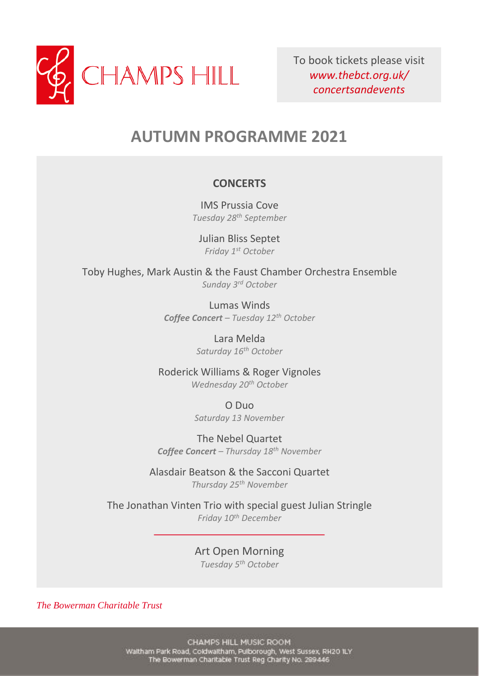

To book tickets please visit *www.thebct.org.uk/ concertsandevents*

# **AUTUMN PROGRAMME 2021**

#### **CONCERTS**

IMS Prussia Cove *Tuesday 28th September*

Julian Bliss Septet *Friday 1st October*

Toby Hughes, Mark Austin & the Faust Chamber Orchestra Ensemble *Sunday 3rd October*

> Lumas Winds *Coffee Concert – Tuesday 12th October*

> > Lara Melda *Saturday 16th October*

Roderick Williams & Roger Vignoles *Wednesday 20th October*

> O Duo *Saturday 13 November*

The Nebel Quartet *Coffee Concert – Thursday 18th November*

Alasdair Beatson & the Sacconi Quartet *Thursday 25th November*

The Jonathan Vinten Trio with special guest Julian Stringle *Friday 10th December*

> Art Open Morning *Tuesday 5th October*

*The Bowerman Charitable Trust*

CHAMPS HILL MUSIC ROOM Waitham Park Road, Coldwaltham, Pulborough, West Sussex, RH2O ILY The Bowerman Charitable Trust Reg Charity No. 289446

**EVENTS**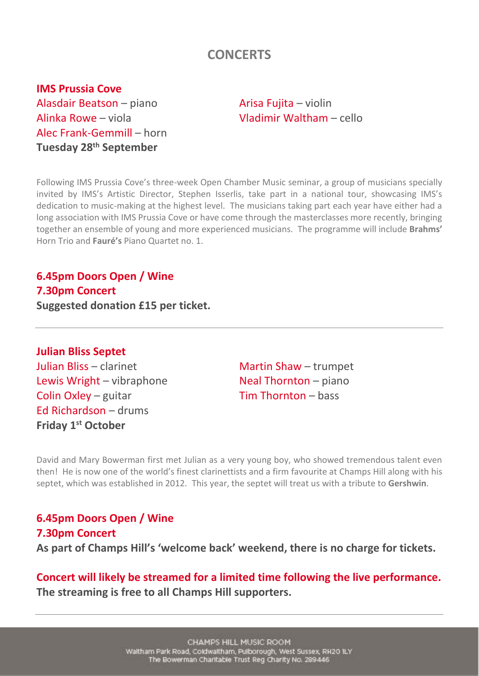# **CONCERTS**

**IMS Prussia Cove** Alasdair Beatson – piano and arisa Fujita – violin Alinka Rowe – viola Vladimir Waltham – cello Alec Frank-Gemmill – horn **Tuesday 28th September**

Following IMS Prussia Cove's three-week Open Chamber Music seminar, a group of musicians specially invited by IMS's Artistic Director, Stephen Isserlis, take part in a national tour, showcasing IMS's dedication to music-making at the highest level. The musicians taking part each year have either had a long association with IMS Prussia Cove or have come through the masterclasses more recently, bringing together an ensemble of young and more experienced musicians. The programme will include **Brahms'** Horn Trio and **Fauré's** Piano Quartet no. 1.

**6.45pm Doors Open / Wine 7.30pm Concert Suggested donation £15 per ticket.**

**Julian Bliss Septet**

Lewis Wright – vibraphone Neal Thornton – piano Colin Oxley – guitar  $\nabla$  Tim Thornton – bass Ed Richardson – drums **Friday 1st October**

Julian Bliss – clarinet Martin Shaw – trumpet

David and Mary Bowerman first met Julian as a very young boy, who showed tremendous talent even then! He is now one of the world's finest clarinettists and a firm favourite at Champs Hill along with his septet, which was established in 2012. This year, the septet will treat us with a tribute to **Gershwin**.

**6.45pm Doors Open / Wine 7.30pm Concert As part of Champs Hill's 'welcome back' weekend, there is no charge for tickets.**

**Concert will likely be streamed for a limited time following the live performance. The streaming is free to all Champs Hill supporters.**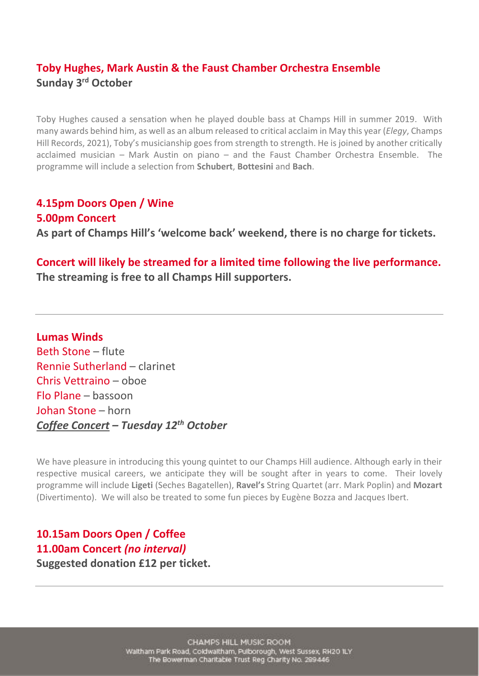## **Toby Hughes, Mark Austin & the Faust Chamber Orchestra Ensemble Sunday 3rd October**

Toby Hughes caused a sensation when he played double bass at Champs Hill in summer 2019. With many awards behind him, as well as an album released to critical acclaim in May this year (*Elegy*, Champs Hill Records, 2021), Toby's musicianship goes from strength to strength. He is joined by another critically acclaimed musician – Mark Austin on piano – and the Faust Chamber Orchestra Ensemble. The programme will include a selection from **Schubert**, **Bottesini** and **Bach**.

**4.15pm Doors Open / Wine 5.00pm Concert As part of Champs Hill's 'welcome back' weekend, there is no charge for tickets.**

#### **Concert will likely be streamed for a limited time following the live performance. The streaming is free to all Champs Hill supporters.**

**Lumas Winds** Beth Stone – flute Rennie Sutherland – clarinet Chris Vettraino – oboe Flo Plane – bassoon Johan Stone – horn *Coffee Concert – Tuesday 12th October*

We have pleasure in introducing this young quintet to our Champs Hill audience. Although early in their respective musical careers, we anticipate they will be sought after in years to come. Their lovely programme will include **Ligeti** (Seches Bagatellen), **Ravel's** String Quartet (arr. Mark Poplin) and **Mozart** (Divertimento). We will also be treated to some fun pieces by Eugène Bozza and Jacques Ibert.

**10.15am Doors Open / Coffee 11.00am Concert** *(no interval)* **Suggested donation £12 per ticket.**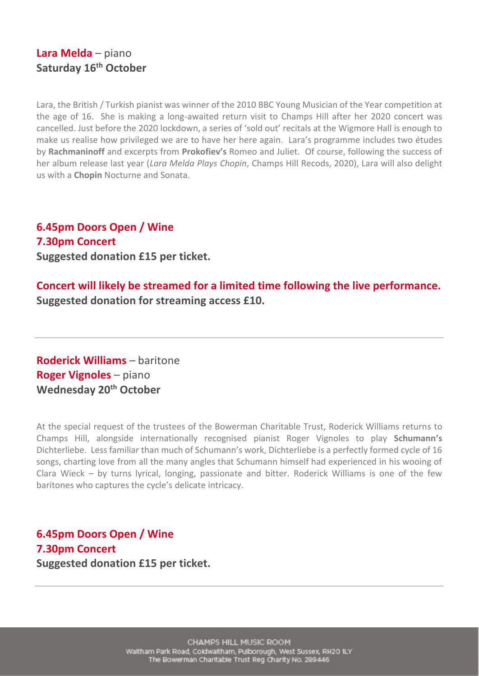#### **Lara Melda** – piano **Saturday 16th October**

Lara, the British / Turkish pianist was winner of the 2010 BBC Young Musician of the Year competition at the age of 16. She is making a long-awaited return visit to Champs Hill after her 2020 concert was cancelled. Just before the 2020 lockdown, a series of 'sold out' recitals at the Wigmore Hall is enough to make us realise how privileged we are to have her here again. Lara's programme includes two études by **Rachmaninoff** and excerpts from **Prokofiev's** Romeo and Juliet. Of course, following the success of her album release last year (*Lara Melda Plays Chopin*, Champs Hill Recods, 2020), Lara will also delight us with a **Chopin** Nocturne and Sonata.

**6.45pm Doors Open / Wine 7.30pm Concert Suggested donation £15 per ticket.**

**Concert will likely be streamed for a limited time following the live performance. Suggested donation for streaming access £10.**

**Roderick Williams** – baritone **Roger Vignoles** – piano **Wednesday 20th October**

At the special request of the trustees of the Bowerman Charitable Trust, Roderick Williams returns to Champs Hill, alongside internationally recognised pianist Roger Vignoles to play **Schumann's** Dichterliebe. Less familiar than much of Schumann's work, Dichterliebe is a perfectly formed cycle of 16 songs, charting love from all the many angles that Schumann himself had experienced in his wooing of Clara Wieck – by turns lyrical, longing, passionate and bitter. Roderick Williams is one of the few baritones who captures the cycle's delicate intricacy.

**6.45pm Doors Open / Wine 7.30pm Concert Suggested donation £15 per ticket.**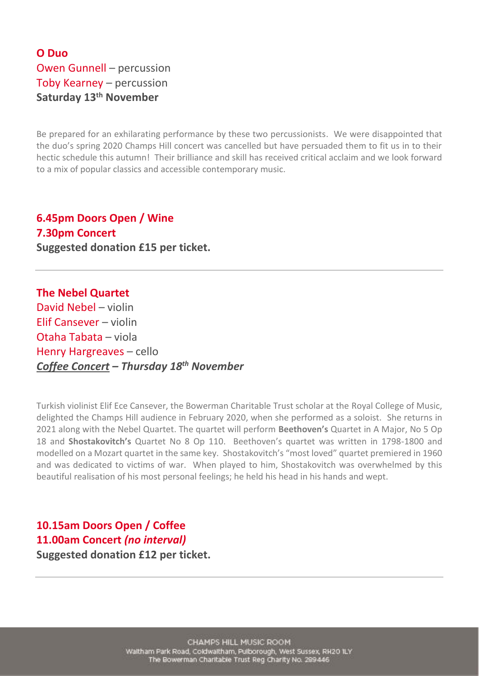## **O Duo** Owen Gunnell – percussion Toby Kearney – percussion **Saturday 13th November**

Be prepared for an exhilarating performance by these two percussionists. We were disappointed that the duo's spring 2020 Champs Hill concert was cancelled but have persuaded them to fit us in to their hectic schedule this autumn! Their brilliance and skill has received critical acclaim and we look forward to a mix of popular classics and accessible contemporary music.

**6.45pm Doors Open / Wine 7.30pm Concert Suggested donation £15 per ticket.**

**The Nebel Quartet** David Nebel – violin Elif Cansever – violin Otaha Tabata – viola Henry Hargreaves – cello *Coffee Concert – Thursday 18 th November*

Turkish violinist Elif Ece Cansever, the Bowerman Charitable Trust scholar at the Royal College of Music, delighted the Champs Hill audience in February 2020, when she performed as a soloist. She returns in 2021 along with the Nebel Quartet. The quartet will perform **Beethoven's** Quartet in A Major, No 5 Op 18 and **Shostakovitch's** Quartet No 8 Op 110. Beethoven's quartet was written in 1798-1800 and modelled on a Mozart quartet in the same key. Shostakovitch's "most loved" quartet premiered in 1960 and was dedicated to victims of war. When played to him, Shostakovitch was overwhelmed by this beautiful realisation of his most personal feelings; he held his head in his hands and wept.

#### **10.15am Doors Open / Coffee 11.00am Concert** *(no interval)* **Suggested donation £12 per ticket.**

CHAMPS HILL MUSIC ROOM Waitham Park Road, Coldwaltham, Pulborough, West Sussex, RH20 ILY The Bowerman Charitable Trust Reg Charity No. 289446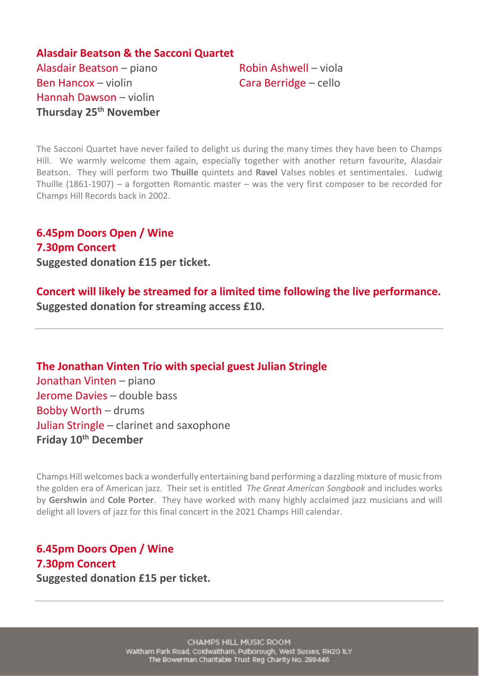**Alasdair Beatson & the Sacconi Quartet** Alasdair Beatson – piano Robin Ashwell – viola Ben Hancox – violin Cara Berridge – cello Hannah Dawson – violin **Thursday 25th November**

The Sacconi Quartet have never failed to delight us during the many times they have been to Champs Hill. We warmly welcome them again, especially together with another return favourite, Alasdair Beatson. They will perform two **Thuille** quintets and **Ravel** Valses nobles et sentimentales. Ludwig Thuille (1861-1907) – a forgotten Romantic master – was the very first composer to be recorded for Champs Hill Records back in 2002.

**6.45pm Doors Open / Wine 7.30pm Concert Suggested donation £15 per ticket.**

**Concert will likely be streamed for a limited time following the live performance. Suggested donation for streaming access £10.**

**The Jonathan Vinten Trio with special guest Julian Stringle** Jonathan Vinten – piano Jerome Davies – double bass Bobby Worth – drums Julian Stringle – clarinet and saxophone **Friday 10th December**

Champs Hill welcomes back a wonderfully entertaining band performing a dazzling mixture of music from the golden era of American jazz. Their set is entitled *The Great American Songbook* and includes works by **Gershwin** and **Cole Porter**. They have worked with many highly acclaimed jazz musicians and will delight all lovers of jazz for this final concert in the 2021 Champs Hill calendar.

## **6.45pm Doors Open / Wine 7.30pm Concert Suggested donation £15 per ticket.**

CHAMPS HILL MUSIC ROOM Waitham Park Road, Coldwaltham, Pulborough, West Sussex, RH20 ILY The Bowerman Charitable Trust Reg Charity No. 289446